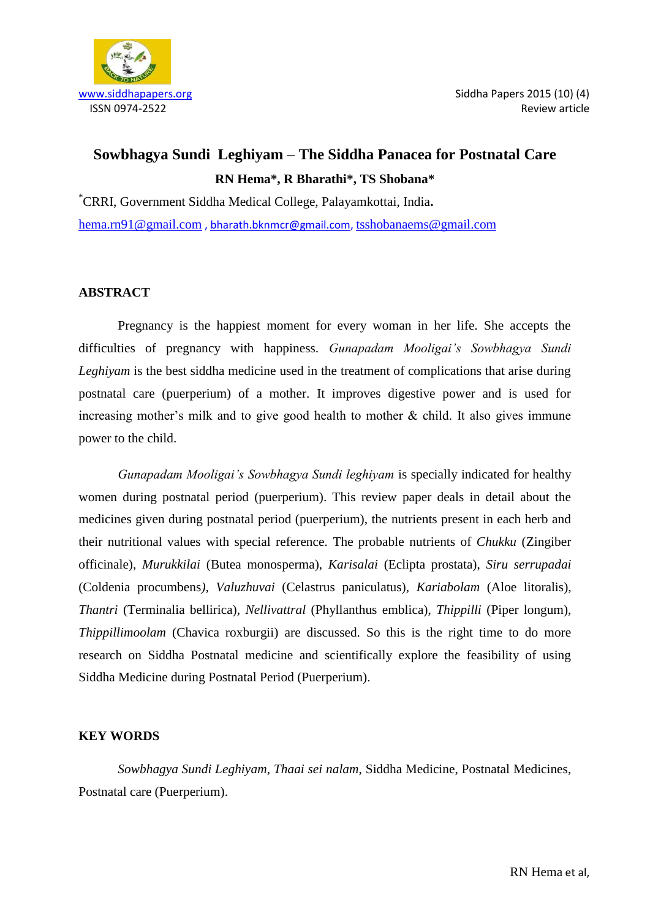

# **Sowbhagya Sundi Leghiyam – The Siddha Panacea for Postnatal Care RN Hema\*, R Bharathi\*, TS Shobana\***

\*CRRI, Government Siddha Medical College, Palayamkottai, India**.** [hema.rn91@gmail.com](mailto:hema.rn91@gmail.com) [, bharath.bknmcr@gmail.com,](mailto:bharath.bknmcr@gmail.com) [tsshobanaems@gmail.com](mailto:tsshobanaems@gmail.com)

# **ABSTRACT**

Pregnancy is the happiest moment for every woman in her life. She accepts the difficulties of pregnancy with happiness. *Gunapadam Mooligai's Sowbhagya Sundi Leghiyam* is the best siddha medicine used in the treatment of complications that arise during postnatal care (puerperium) of a mother. It improves digestive power and is used for increasing mother's milk and to give good health to mother  $\&$  child. It also gives immune power to the child.

*Gunapadam Mooligai's Sowbhagya Sundi leghiyam* is specially indicated for healthy women during postnatal period (puerperium). This review paper deals in detail about the medicines given during postnatal period (puerperium), the nutrients present in each herb and their nutritional values with special reference. The probable nutrients of *Chukku* (Zingiber officinale), *Murukkilai* (Butea monosperma), *Karisalai* (Eclipta prostata), *Siru serrupadai* (Coldenia procumbens*), Valuzhuvai* (Celastrus paniculatus), *Kariabolam* (Aloe litoralis), *Thantri* (Terminalia bellirica), *Nellivattral* (Phyllanthus emblica), *Thippilli* (Piper longum), *Thippillimoolam* (Chavica roxburgii) are discussed. So this is the right time to do more research on Siddha Postnatal medicine and scientifically explore the feasibility of using Siddha Medicine during Postnatal Period (Puerperium).

# **KEY WORDS**

*Sowbhagya Sundi Leghiyam*, *Thaai sei nalam*, Siddha Medicine, Postnatal Medicines, Postnatal care (Puerperium).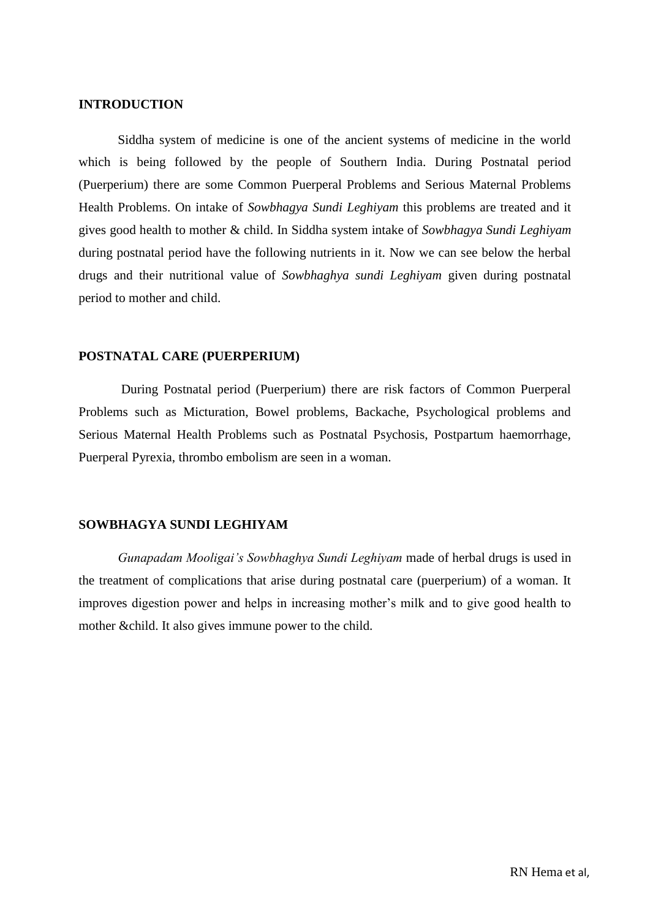# **INTRODUCTION**

Siddha system of medicine is one of the ancient systems of medicine in the world which is being followed by the people of Southern India. During Postnatal period (Puerperium) there are some Common Puerperal Problems and Serious Maternal Problems Health Problems. On intake of *Sowbhagya Sundi Leghiyam* this problems are treated and it gives good health to mother & child. In Siddha system intake of *Sowbhagya Sundi Leghiyam* during postnatal period have the following nutrients in it. Now we can see below the herbal drugs and their nutritional value of *Sowbhaghya sundi Leghiyam* given during postnatal period to mother and child.

# **POSTNATAL CARE (PUERPERIUM)**

During Postnatal period (Puerperium) there are risk factors of Common Puerperal Problems such as Micturation, Bowel problems, Backache, Psychological problems and Serious Maternal Health Problems such as Postnatal Psychosis, Postpartum haemorrhage, Puerperal Pyrexia, thrombo embolism are seen in a woman.

#### **SOWBHAGYA SUNDI LEGHIYAM**

*Gunapadam Mooligai's Sowbhaghya Sundi Leghiyam* made of herbal drugs is used in the treatment of complications that arise during postnatal care (puerperium) of a woman. It improves digestion power and helps in increasing mother's milk and to give good health to mother &child. It also gives immune power to the child.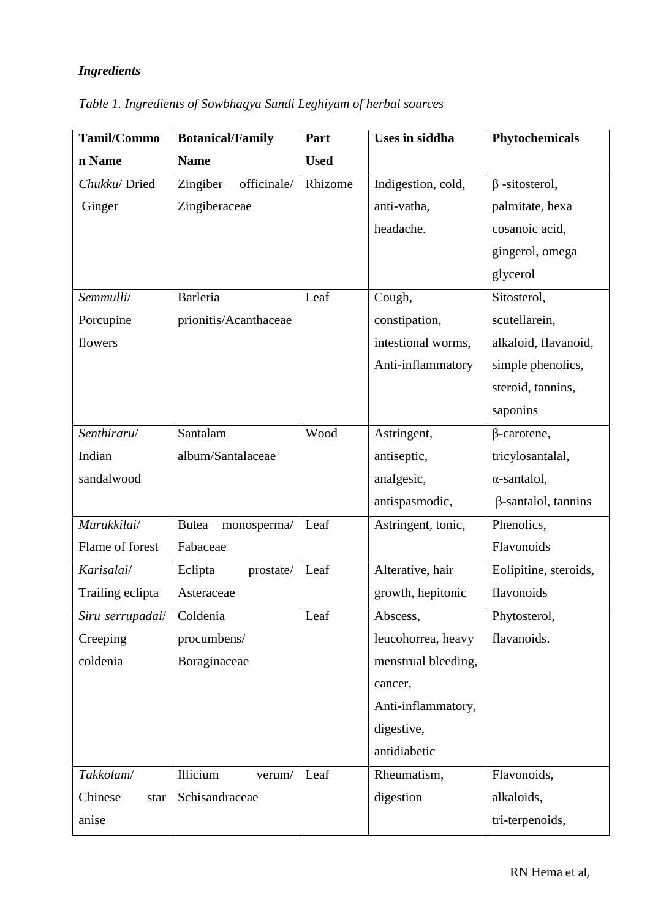# *Ingredients*

| Tamil/Commo      | <b>Botanical/Family</b>     | Part        | <b>Uses in siddha</b> | Phytochemicals             |
|------------------|-----------------------------|-------------|-----------------------|----------------------------|
| n Name           | <b>Name</b>                 | <b>Used</b> |                       |                            |
| Chukku/Dried     | officinale/<br>Zingiber     | Rhizome     | Indigestion, cold,    | $\beta$ -sitosterol,       |
| Ginger           | Zingiberaceae               |             | anti-vatha,           | palmitate, hexa            |
|                  |                             |             | headache.             | cosanoic acid,             |
|                  |                             |             |                       | gingerol, omega            |
|                  |                             |             |                       | glycerol                   |
| Semmulli/        | Barleria                    | Leaf        | Cough,                | Sitosterol,                |
| Porcupine        | prionitis/Acanthaceae       |             | constipation,         | scutellarein,              |
| flowers          |                             |             | intestional worms,    | alkaloid, flavanoid,       |
|                  |                             |             | Anti-inflammatory     | simple phenolics,          |
|                  |                             |             |                       | steroid, tannins,          |
|                  |                             |             |                       | saponins                   |
| Senthiraru/      | Santalam                    | Wood        | Astringent,           | $\beta$ -carotene,         |
| Indian           | album/Santalaceae           |             | antiseptic,           | tricylosantalal,           |
| sandalwood       |                             |             | analgesic,            | $\alpha$ -santalol,        |
|                  |                             |             | antispasmodic,        | $\beta$ -santalol, tannins |
| Murukkilai/      | <b>Butea</b><br>monosperma/ | Leaf        | Astringent, tonic,    | Phenolics,                 |
| Flame of forest  | Fabaceae                    |             |                       | Flavonoids                 |
| Karisalai/       | Eclipta<br>prostate/        | Leaf        | Alterative, hair      | Eolipitine, steroids,      |
| Trailing eclipta | Asteraceae                  |             | growth, hepitonic     | flavonoids                 |
| Siru serrupadai/ | Coldenia                    | Leaf        | Abscess,              | Phytosterol,               |
| Creeping         | procumbens/                 |             | leucohorrea, heavy    | flavanoids.                |
| coldenia         | Boraginaceae                |             | menstrual bleeding,   |                            |
|                  |                             |             | cancer,               |                            |
|                  |                             |             | Anti-inflammatory,    |                            |
|                  |                             |             | digestive,            |                            |
|                  |                             |             | antidiabetic          |                            |
| Takkolam/        | Illicium<br>verum/          | Leaf        | Rheumatism,           | Flavonoids,                |
| Chinese<br>star  | Schisandraceae              |             | digestion             | alkaloids,                 |
| anise            |                             |             |                       | tri-terpenoids,            |

*Table 1. Ingredients of Sowbhagya Sundi Leghiyam of herbal sources*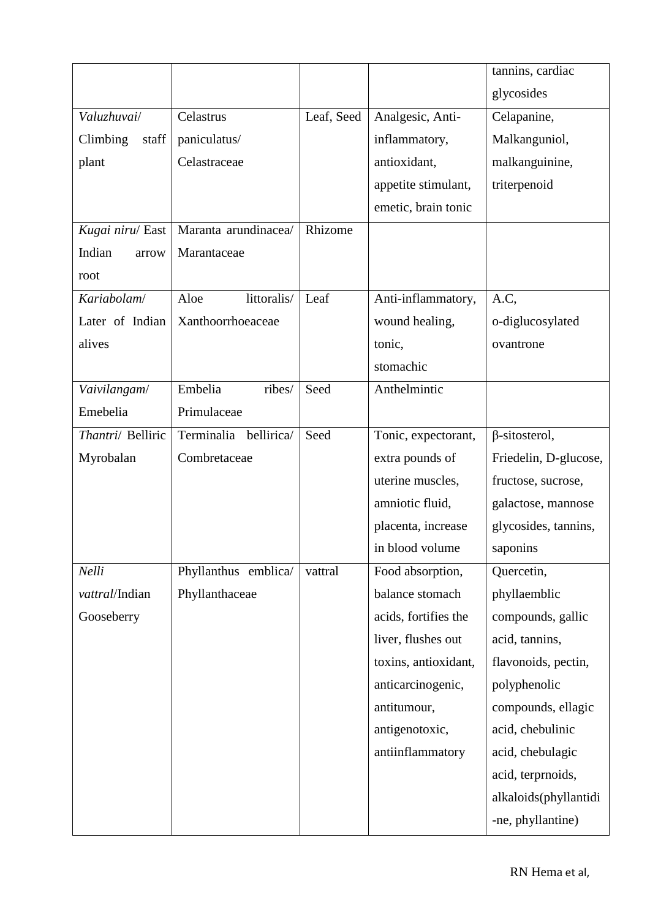|                   |                       |            |                      | tannins, cardiac      |
|-------------------|-----------------------|------------|----------------------|-----------------------|
|                   |                       |            |                      | glycosides            |
| Valuzhuvai/       | Celastrus             | Leaf, Seed | Analgesic, Anti-     | Celapanine,           |
| Climbing<br>staff | paniculatus/          |            | inflammatory,        | Malkanguniol,         |
| plant             | Celastraceae          |            | antioxidant,         | malkanguinine,        |
|                   |                       |            | appetite stimulant,  | triterpenoid          |
|                   |                       |            | emetic, brain tonic  |                       |
| Kugai niru/ East  | Maranta arundinacea/  | Rhizome    |                      |                       |
| Indian<br>arrow   | Marantaceae           |            |                      |                       |
| root              |                       |            |                      |                       |
| Kariabolam/       | littoralis/<br>Aloe   | Leaf       | Anti-inflammatory,   | A.C,                  |
| Later of Indian   | Xanthoorrhoeaceae     |            | wound healing,       | o-diglucosylated      |
| alives            |                       |            | tonic,               | ovantrone             |
|                   |                       |            | stomachic            |                       |
| Vaivilangam/      | Embelia<br>ribes/     | Seed       | Anthelmintic         |                       |
| Emebelia          | Primulaceae           |            |                      |                       |
| Thantri/ Belliric | Terminalia bellirica/ | Seed       | Tonic, expectorant,  | $\beta$ -sitosterol,  |
| Myrobalan         | Combretaceae          |            | extra pounds of      | Friedelin, D-glucose, |
|                   |                       |            | uterine muscles,     | fructose, sucrose,    |
|                   |                       |            | amniotic fluid,      | galactose, mannose    |
|                   |                       |            | placenta, increase   | glycosides, tannins,  |
|                   |                       |            | in blood volume      | saponins              |
| Nelli             | Phyllanthus emblica/  | vattral    | Food absorption,     | Quercetin,            |
| vattral/Indian    | Phyllanthaceae        |            | balance stomach      | phyllaemblic          |
| Gooseberry        |                       |            | acids, fortifies the | compounds, gallic     |
|                   |                       |            | liver, flushes out   | acid, tannins,        |
|                   |                       |            | toxins, antioxidant, | flavonoids, pectin,   |
|                   |                       |            | anticarcinogenic,    | polyphenolic          |
|                   |                       |            | antitumour,          | compounds, ellagic    |
|                   |                       |            | antigenotoxic,       | acid, chebulinic      |
|                   |                       |            | antiinflammatory     | acid, chebulagic      |
|                   |                       |            |                      | acid, terprnoids,     |
|                   |                       |            |                      | alkaloids(phyllantidi |
|                   |                       |            |                      | -ne, phyllantine)     |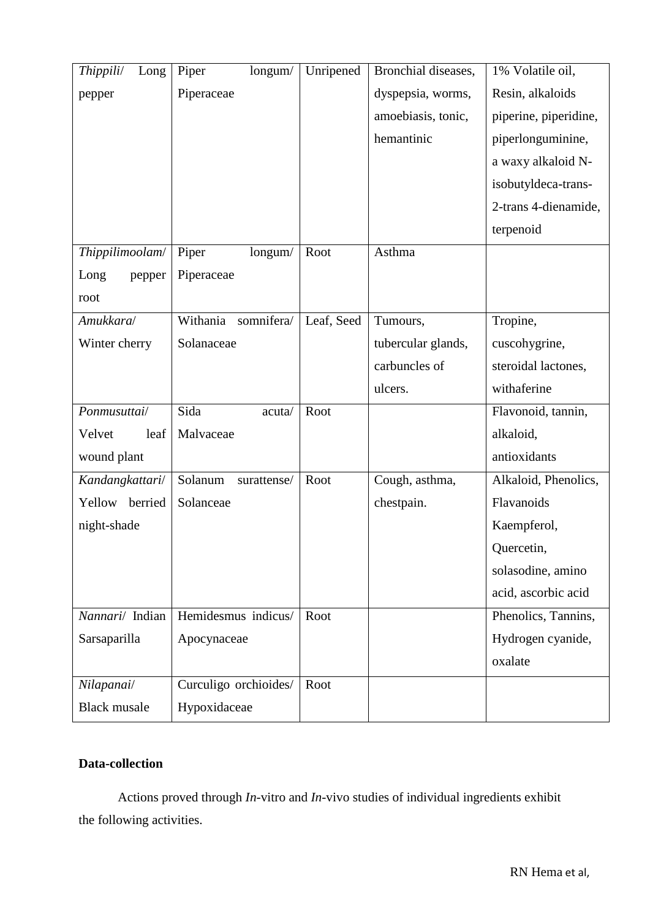| Thippili/<br>Long   | Piper<br>longum/       | Unripened  | Bronchial diseases, | 1% Volatile oil,      |
|---------------------|------------------------|------------|---------------------|-----------------------|
| pepper              | Piperaceae             |            | dyspepsia, worms,   | Resin, alkaloids      |
|                     |                        |            | amoebiasis, tonic,  | piperine, piperidine, |
|                     |                        |            | hemantinic          | piperlonguminine,     |
|                     |                        |            |                     | a waxy alkaloid N-    |
|                     |                        |            |                     | isobutyldeca-trans-   |
|                     |                        |            |                     | 2-trans 4-dienamide,  |
|                     |                        |            |                     | terpenoid             |
| Thippilimoolam/     | Piper<br>longum/       | Root       | Asthma              |                       |
| Long<br>pepper      | Piperaceae             |            |                     |                       |
| root                |                        |            |                     |                       |
| Amukkara/           | Withania somnifera/    | Leaf, Seed | Tumours,            | Tropine,              |
| Winter cherry       | Solanaceae             |            | tubercular glands,  | cuscohygrine,         |
|                     |                        |            | carbuncles of       | steroidal lactones,   |
|                     |                        |            | ulcers.             | withaferine           |
| Ponmusuttai/        | Sida<br>acuta/         | Root       |                     | Flavonoid, tannin,    |
| leaf<br>Velvet      | Malvaceae              |            |                     | alkaloid,             |
| wound plant         |                        |            |                     | antioxidants          |
| Kandangkattari/     | Solanum<br>surattense/ | Root       | Cough, asthma,      | Alkaloid, Phenolics,  |
| Yellow berried      | Solanceae              |            | chestpain.          | Flavanoids            |
| night-shade         |                        |            |                     | Kaempferol,           |
|                     |                        |            |                     | Quercetin,            |
|                     |                        |            |                     | solasodine, amino     |
|                     |                        |            |                     | acid, ascorbic acid   |
| Nannari/ Indian     | Hemidesmus indicus/    | Root       |                     | Phenolics, Tannins,   |
| Sarsaparilla        | Apocynaceae            |            |                     | Hydrogen cyanide,     |
|                     |                        |            |                     | oxalate               |
| Nilapanai/          | Curculigo orchioides/  | Root       |                     |                       |
| <b>Black musale</b> | Hypoxidaceae           |            |                     |                       |

# **Data-collection**

Actions proved through *In-*vitro and *In-*vivo studies of individual ingredients exhibit the following activities.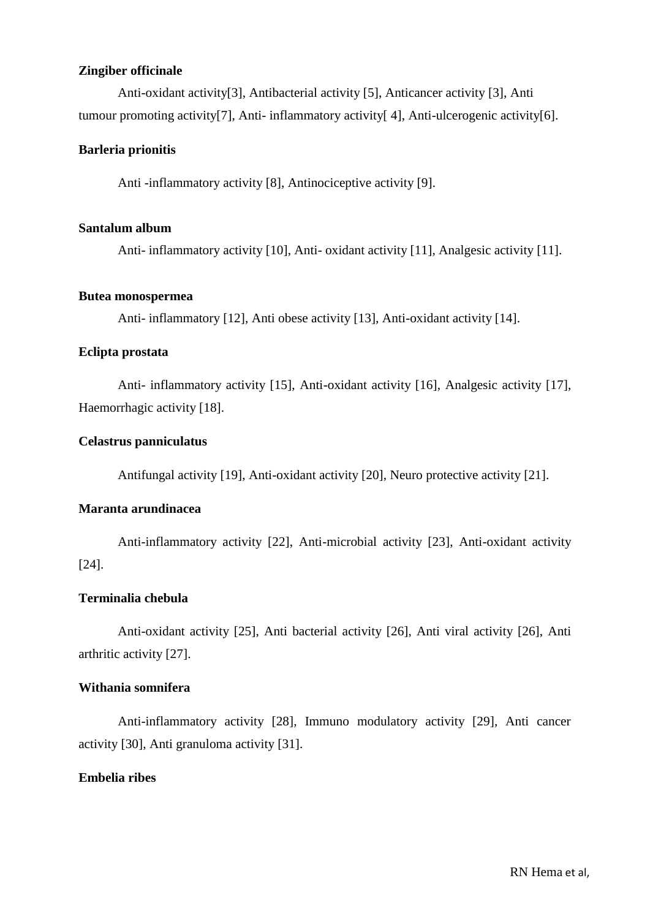# **Zingiber officinale**

 Anti-oxidant activity[3], Antibacterial activity [5], Anticancer activity [3], Anti tumour promoting activity[7], Anti- inflammatory activity[ 4], Anti-ulcerogenic activity[6].

# **Barleria prionitis**

Anti -inflammatory activity [8], Antinociceptive activity [9].

#### **Santalum album**

Anti- inflammatory activity [10], Anti- oxidant activity [11], Analgesic activity [11].

## **Butea monospermea**

Anti- inflammatory [12], Anti obese activity [13], Anti-oxidant activity [14].

# **Eclipta prostata**

Anti- inflammatory activity [15], Anti-oxidant activity [16], Analgesic activity [17], Haemorrhagic activity [18].

#### **Celastrus panniculatus**

Antifungal activity [19], Anti-oxidant activity [20], Neuro protective activity [21].

# **Maranta arundinacea**

Anti-inflammatory activity [22], Anti-microbial activity [23], Anti-oxidant activity [24].

# **Terminalia chebula**

Anti-oxidant activity [25], Anti bacterial activity [26], Anti viral activity [26], Anti arthritic activity [27].

# **Withania somnifera**

Anti-inflammatory activity [28], Immuno modulatory activity [29], Anti cancer activity [30], Anti granuloma activity [31].

# **Embelia ribes**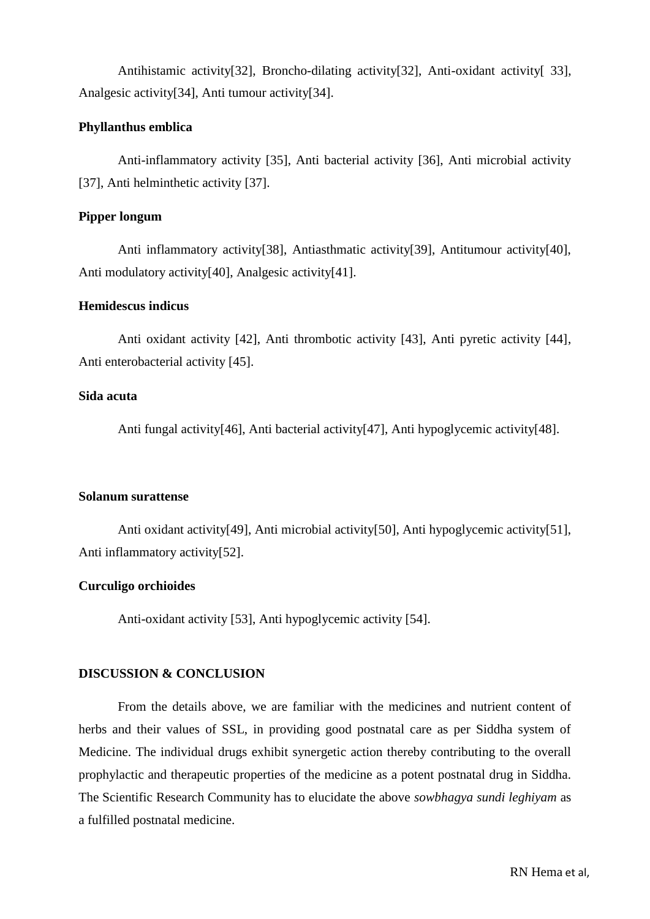Antihistamic activity[32], Broncho-dilating activity[32], Anti-oxidant activity[ 33], Analgesic activity[34], Anti tumour activity[34].

# **Phyllanthus emblica**

Anti-inflammatory activity [35], Anti bacterial activity [36], Anti microbial activity [37], Anti helminthetic activity [37].

#### **Pipper longum**

Anti inflammatory activity[38], Antiasthmatic activity[39], Antitumour activity[40], Anti modulatory activity[40], Analgesic activity[41].

# **Hemidescus indicus**

Anti oxidant activity [42], Anti thrombotic activity [43], Anti pyretic activity [44], Anti enterobacterial activity [45].

#### **Sida acuta**

Anti fungal activity[46], Anti bacterial activity[47], Anti hypoglycemic activity[48].

#### **Solanum surattense**

Anti oxidant activity[49], Anti microbial activity[50], Anti hypoglycemic activity[51], Anti inflammatory activity[52].

#### **Curculigo orchioides**

Anti-oxidant activity [53], Anti hypoglycemic activity [54].

# **DISCUSSION & CONCLUSION**

 From the details above, we are familiar with the medicines and nutrient content of herbs and their values of SSL, in providing good postnatal care as per Siddha system of Medicine. The individual drugs exhibit synergetic action thereby contributing to the overall prophylactic and therapeutic properties of the medicine as a potent postnatal drug in Siddha. The Scientific Research Community has to elucidate the above *sowbhagya sundi leghiyam* as a fulfilled postnatal medicine.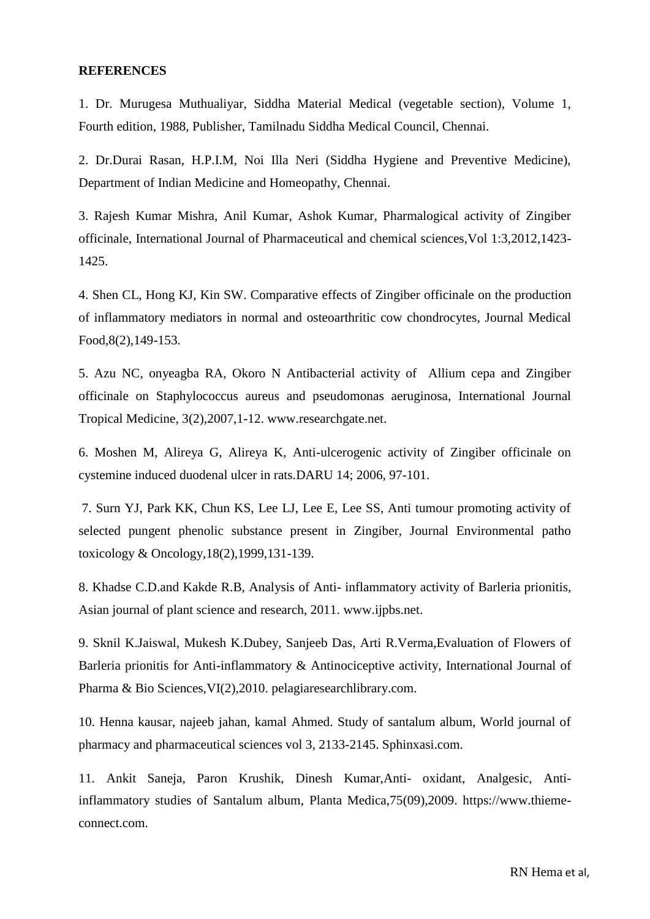#### **REFERENCES**

1. Dr. Murugesa Muthualiyar, Siddha Material Medical (vegetable section), Volume 1, Fourth edition, 1988, Publisher, Tamilnadu Siddha Medical Council, Chennai.

2. Dr.Durai Rasan, H.P.I.M, Noi Illa Neri (Siddha Hygiene and Preventive Medicine), Department of Indian Medicine and Homeopathy, Chennai.

3. Rajesh Kumar Mishra, Anil Kumar, Ashok Kumar, Pharmalogical activity of Zingiber officinale, International Journal of Pharmaceutical and chemical sciences,Vol 1:3,2012,1423- 1425.

4. Shen CL, Hong KJ, Kin SW. Comparative effects of Zingiber officinale on the production of inflammatory mediators in normal and osteoarthritic cow chondrocytes, Journal Medical Food,8(2),149-153.

5. Azu NC, onyeagba RA, Okoro N Antibacterial activity of Allium cepa and Zingiber officinale on Staphylococcus aureus and pseudomonas aeruginosa, International Journal Tropical Medicine, 3(2),2007,1-12. www.researchgate.net.

6. Moshen M, Alireya G, Alireya K, Anti-ulcerogenic activity of Zingiber officinale on cystemine induced duodenal ulcer in rats.DARU 14; 2006, 97-101.

7. Surn YJ, Park KK, Chun KS, Lee LJ, Lee E, Lee SS, Anti tumour promoting activity of selected pungent phenolic substance present in Zingiber, Journal Environmental patho toxicology & Oncology,18(2),1999,131-139.

8. Khadse C.D.and Kakde R.B, Analysis of Anti- inflammatory activity of Barleria prionitis, Asian journal of plant science and research, 2011. www.ijpbs.net.

9. Sknil K.Jaiswal, Mukesh K.Dubey, Sanjeeb Das, Arti R.Verma,Evaluation of Flowers of Barleria prionitis for Anti-inflammatory & Antinociceptive activity, International Journal of Pharma & Bio Sciences,VI(2),2010. pelagiaresearchlibrary.com.

10. Henna kausar, najeeb jahan, kamal Ahmed. Study of santalum album, World journal of pharmacy and pharmaceutical sciences vol 3, 2133-2145. Sphinxasi.com.

11. Ankit Saneja, Paron Krushik, Dinesh Kumar,Anti- oxidant, Analgesic, Antiinflammatory studies of Santalum album, Planta Medica,75(09),2009. https://www.thiemeconnect.com.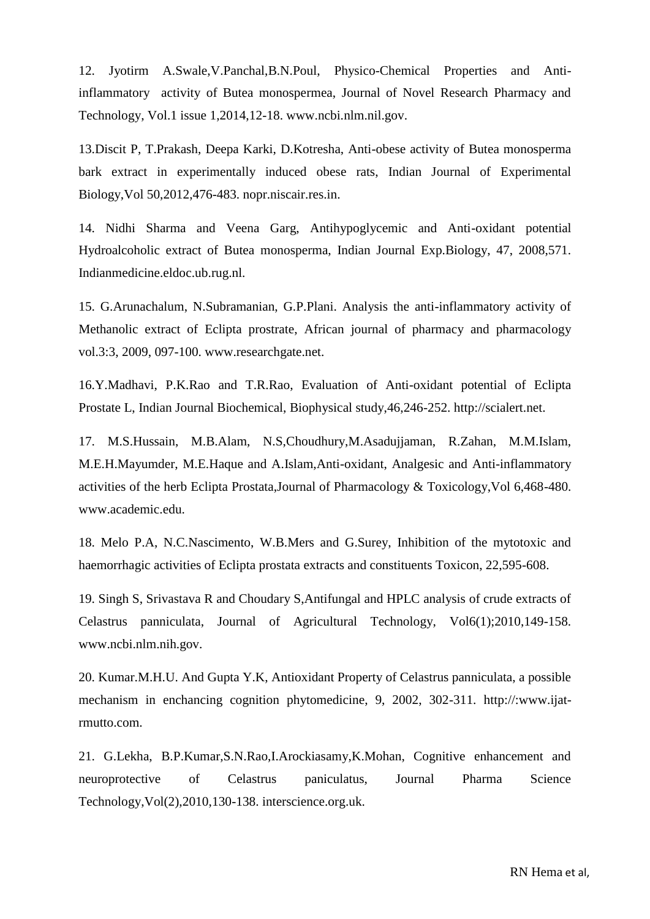12. Jyotirm A.Swale,V.Panchal,B.N.Poul, Physico-Chemical Properties and Antiinflammatory activity of Butea monospermea, Journal of Novel Research Pharmacy and Technology, Vol.1 issue 1,2014,12-18. www.ncbi.nlm.nil.gov.

13.Discit P, T.Prakash, Deepa Karki, D.Kotresha, Anti-obese activity of Butea monosperma bark extract in experimentally induced obese rats, Indian Journal of Experimental Biology,Vol 50,2012,476-483. nopr.niscair.res.in.

14. Nidhi Sharma and Veena Garg, Antihypoglycemic and Anti-oxidant potential Hydroalcoholic extract of Butea monosperma, Indian Journal Exp.Biology, 47, 2008,571. Indianmedicine.eldoc.ub.rug.nl.

15. G.Arunachalum, N.Subramanian, G.P.Plani. Analysis the anti-inflammatory activity of Methanolic extract of Eclipta prostrate, African journal of pharmacy and pharmacology vol.3:3, 2009, 097-100. www.researchgate.net.

16.Y.Madhavi, P.K.Rao and T.R.Rao, Evaluation of Anti-oxidant potential of Eclipta Prostate L, Indian Journal Biochemical, Biophysical study,46,246-252. http://scialert.net.

17. M.S.Hussain, M.B.Alam, N.S,Choudhury,M.Asadujjaman, R.Zahan, M.M.Islam, M.E.H.Mayumder, M.E.Haque and A.Islam,Anti-oxidant, Analgesic and Anti-inflammatory activities of the herb Eclipta Prostata,Journal of Pharmacology & Toxicology,Vol 6,468-480. www.academic.edu.

18. Melo P.A, N.C.Nascimento, W.B.Mers and G.Surey, Inhibition of the mytotoxic and haemorrhagic activities of Eclipta prostata extracts and constituents Toxicon, 22,595-608.

19. Singh S, Srivastava R and Choudary S,Antifungal and HPLC analysis of crude extracts of Celastrus panniculata, Journal of Agricultural Technology, Vol6(1);2010,149-158. www.ncbi.nlm.nih.gov.

20. Kumar.M.H.U. And Gupta Y.K, Antioxidant Property of Celastrus panniculata, a possible mechanism in enchancing cognition phytomedicine, 9, 2002, 302-311. http://:www.ijatrmutto.com.

21. G.Lekha, B.P.Kumar,S.N.Rao,I.Arockiasamy,K.Mohan, Cognitive enhancement and neuroprotective of Celastrus paniculatus, Journal Pharma Science Technology,Vol(2),2010,130-138. interscience.org.uk.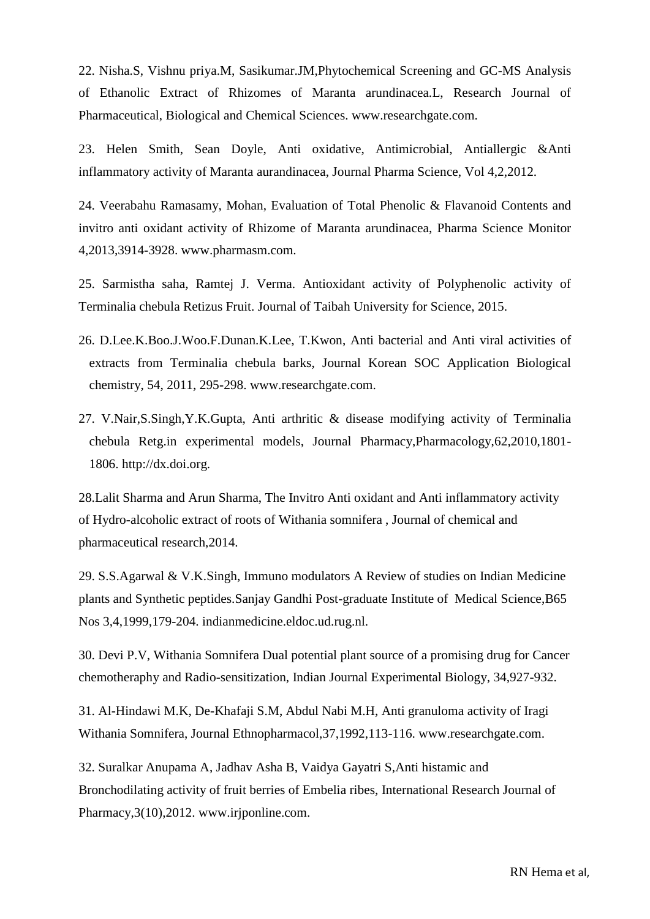22. Nisha.S, Vishnu priya.M, Sasikumar.JM,Phytochemical Screening and GC-MS Analysis of Ethanolic Extract of Rhizomes of Maranta arundinacea.L, Research Journal of Pharmaceutical, Biological and Chemical Sciences. www.researchgate.com.

23. Helen Smith, Sean Doyle, Anti oxidative, Antimicrobial, Antiallergic &Anti inflammatory activity of Maranta aurandinacea, Journal Pharma Science, Vol 4,2,2012.

24. Veerabahu Ramasamy, Mohan, Evaluation of Total Phenolic & Flavanoid Contents and invitro anti oxidant activity of Rhizome of Maranta arundinacea, Pharma Science Monitor 4,2013,3914-3928. www.pharmasm.com.

25. Sarmistha saha, Ramtej J. Verma. Antioxidant activity of Polyphenolic activity of Terminalia chebula Retizus Fruit. Journal of Taibah University for Science, 2015.

- 26. D.Lee.K.Boo.J.Woo.F.Dunan.K.Lee, T.Kwon, Anti bacterial and Anti viral activities of extracts from Terminalia chebula barks, Journal Korean SOC Application Biological chemistry, 54, 2011, 295-298. www.researchgate.com.
- 27. V.Nair,S.Singh,Y.K.Gupta, Anti arthritic & disease modifying activity of Terminalia chebula Retg.in experimental models, Journal Pharmacy,Pharmacology,62,2010,1801- 1806. http://dx.doi.org.

28.Lalit Sharma and Arun Sharma, The Invitro Anti oxidant and Anti inflammatory activity of Hydro-alcoholic extract of roots of Withania somnifera , Journal of chemical and pharmaceutical research,2014.

29. S.S.Agarwal & V.K.Singh, Immuno modulators A Review of studies on Indian Medicine plants and Synthetic peptides.Sanjay Gandhi Post-graduate Institute of Medical Science,B65 Nos 3,4,1999,179-204. indianmedicine.eldoc.ud.rug.nl.

30. Devi P.V, Withania Somnifera Dual potential plant source of a promising drug for Cancer chemotheraphy and Radio-sensitization, Indian Journal Experimental Biology, 34,927-932.

31. Al-Hindawi M.K, De-Khafaji S.M, Abdul Nabi M.H, Anti granuloma activity of Iragi Withania Somnifera, Journal Ethnopharmacol,37,1992,113-116. www.researchgate.com.

32. Suralkar Anupama A, Jadhav Asha B, Vaidya Gayatri S,Anti histamic and Bronchodilating activity of fruit berries of Embelia ribes, International Research Journal of Pharmacy,3(10),2012. www.irjponline.com.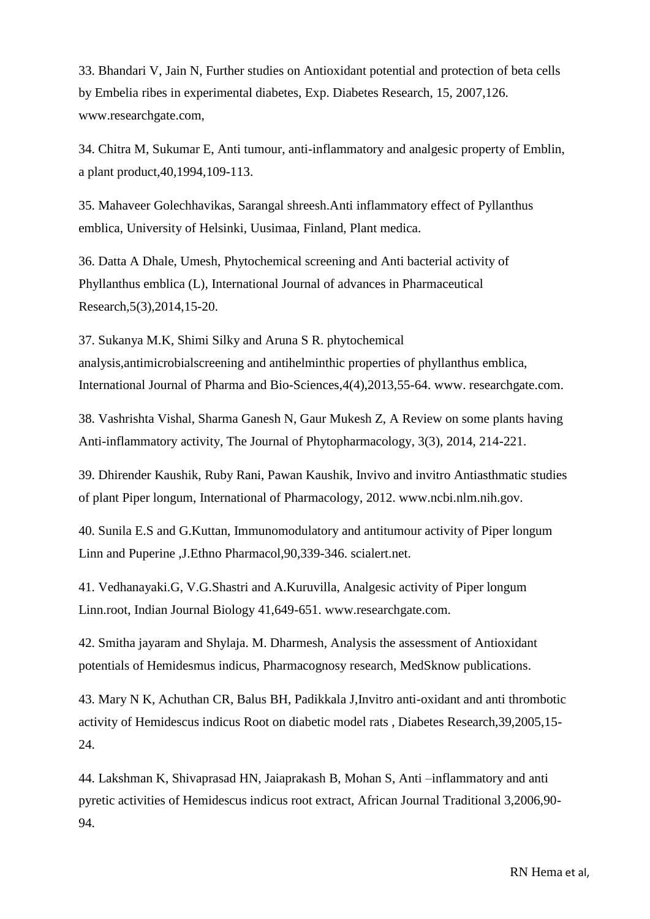33. Bhandari V, Jain N, Further studies on Antioxidant potential and protection of beta cells by Embelia ribes in experimental diabetes, Exp. Diabetes Research, 15, 2007,126. www.researchgate.com,

34. Chitra M, Sukumar E, Anti tumour, anti-inflammatory and analgesic property of Emblin, a plant product,40,1994,109-113.

35. Mahaveer Golechhavikas, Sarangal shreesh.Anti inflammatory effect of Pyllanthus emblica, University of Helsinki, Uusimaa, Finland, Plant medica.

36. Datta A Dhale, Umesh, Phytochemical screening and Anti bacterial activity of Phyllanthus emblica (L), International Journal of advances in Pharmaceutical Research,5(3),2014,15-20.

37. Sukanya M.K, Shimi Silky and Aruna S R. phytochemical analysis,antimicrobialscreening and antihelminthic properties of phyllanthus emblica, International Journal of Pharma and Bio-Sciences,4(4),2013,55-64. www. researchgate.com.

38. Vashrishta Vishal, Sharma Ganesh N, Gaur Mukesh Z, A Review on some plants having Anti-inflammatory activity, The Journal of Phytopharmacology, 3(3), 2014, 214-221.

39. Dhirender Kaushik, Ruby Rani, Pawan Kaushik, Invivo and invitro Antiasthmatic studies of plant Piper longum, International of Pharmacology, 2012. www.ncbi.nlm.nih.gov.

40. Sunila E.S and G.Kuttan, Immunomodulatory and antitumour activity of Piper longum Linn and Puperine ,J.Ethno Pharmacol,90,339-346. scialert.net.

41. Vedhanayaki.G, V.G.Shastri and A.Kuruvilla, Analgesic activity of Piper longum Linn.root, Indian Journal Biology 41,649-651. www.researchgate.com.

42. Smitha jayaram and Shylaja. M. Dharmesh, Analysis the assessment of Antioxidant potentials of Hemidesmus indicus, Pharmacognosy research, MedSknow publications.

43. Mary N K, Achuthan CR, Balus BH, Padikkala J,Invitro anti-oxidant and anti thrombotic activity of Hemidescus indicus Root on diabetic model rats , Diabetes Research,39,2005,15- 24.

44. Lakshman K, Shivaprasad HN, Jaiaprakash B, Mohan S, Anti –inflammatory and anti pyretic activities of Hemidescus indicus root extract, African Journal Traditional 3,2006,90- 94.